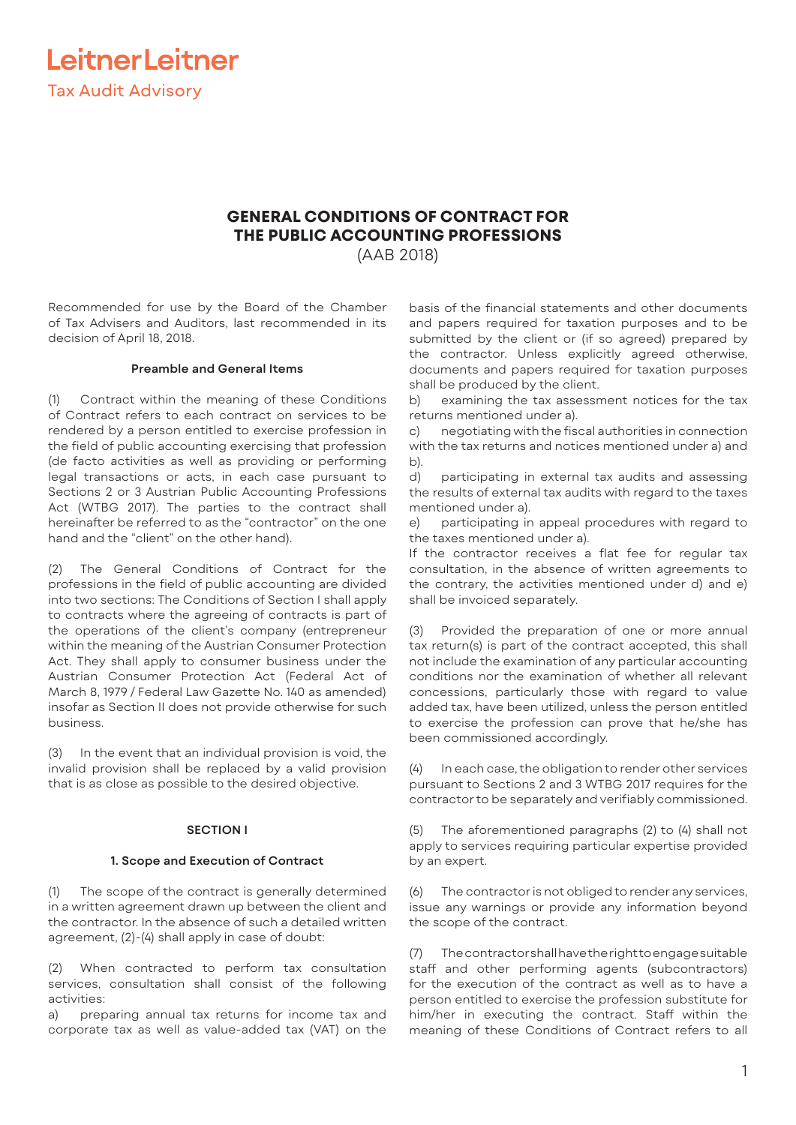

## **GENERAL CONDITIONS OF CONTRACT FOR THE PUBLIC ACCOUNTING PROFESSIONS**

(AAB 2018)

Recommended for use by the Board of the Chamber of Tax Advisers and Auditors, last recommended in its decision of April 18, 2018.

## **Preamble and General Items**

(1) Contract within the meaning of these Conditions of Contract refers to each contract on services to be rendered by a person entitled to exercise profession in the field of public accounting exercising that profession (de facto activities as well as providing or performing legal transactions or acts, in each case pursuant to Sections 2 or 3 Austrian Public Accounting Professions Act (WTBG 2017). The parties to the contract shall hereinafter be referred to as the "contractor" on the one hand and the "client" on the other hand).

(2) The General Conditions of Contract for the professions in the field of public accounting are divided into two sections: The Conditions of Section I shall apply to contracts where the agreeing of contracts is part of the operations of the client's company (entrepreneur within the meaning of the Austrian Consumer Protection Act. They shall apply to consumer business under the Austrian Consumer Protection Act (Federal Act of March 8, 1979 / Federal Law Gazette No. 140 as amended) insofar as Section II does not provide otherwise for such business.

In the event that an individual provision is void, the invalid provision shall be replaced by a valid provision that is as close as possible to the desired objective.

## **SECTION I**

### **1. Scope and Execution of Contract**

(1) The scope of the contract is generally determined in a written agreement drawn up between the client and the contractor. In the absence of such a detailed written agreement, (2)-(4) shall apply in case of doubt:

(2) When contracted to perform tax consultation services, consultation shall consist of the following activities:

a) preparing annual tax returns for income tax and corporate tax as well as value-added tax (VAT) on the

basis of the financial statements and other documents and papers required for taxation purposes and to be submitted by the client or (if so agreed) prepared by the contractor. Unless explicitly agreed otherwise, documents and papers required for taxation purposes shall be produced by the client.

b) examining the tax assessment notices for the tax returns mentioned under a).

c) negotiating with the fiscal authorities in connection with the tax returns and notices mentioned under a) and b).

d) participating in external tax audits and assessing the results of external tax audits with regard to the taxes mentioned under a).

e) participating in appeal procedures with regard to the taxes mentioned under a).

If the contractor receives a flat fee for regular tax consultation, in the absence of written agreements to the contrary, the activities mentioned under d) and e) shall be invoiced separately.

(3) Provided the preparation of one or more annual tax return(s) is part of the contract accepted, this shall not include the examination of any particular accounting conditions nor the examination of whether all relevant concessions, particularly those with regard to value added tax, have been utilized, unless the person entitled to exercise the profession can prove that he/she has been commissioned accordingly.

(4) In each case, the obligation to render other services pursuant to Sections 2 and 3 WTBG 2017 requires for the contractor to be separately and verifiably commissioned.

(5) The aforementioned paragraphs (2) to (4) shall not apply to services requiring particular expertise provided by an expert.

(6) The contractor is not obliged to render any services, issue any warnings or provide any information beyond the scope of the contract.

(7) The contractor shall have the right to engage suitable staff and other performing agents (subcontractors) for the execution of the contract as well as to have a person entitled to exercise the profession substitute for him/her in executing the contract. Staff within the meaning of these Conditions of Contract refers to all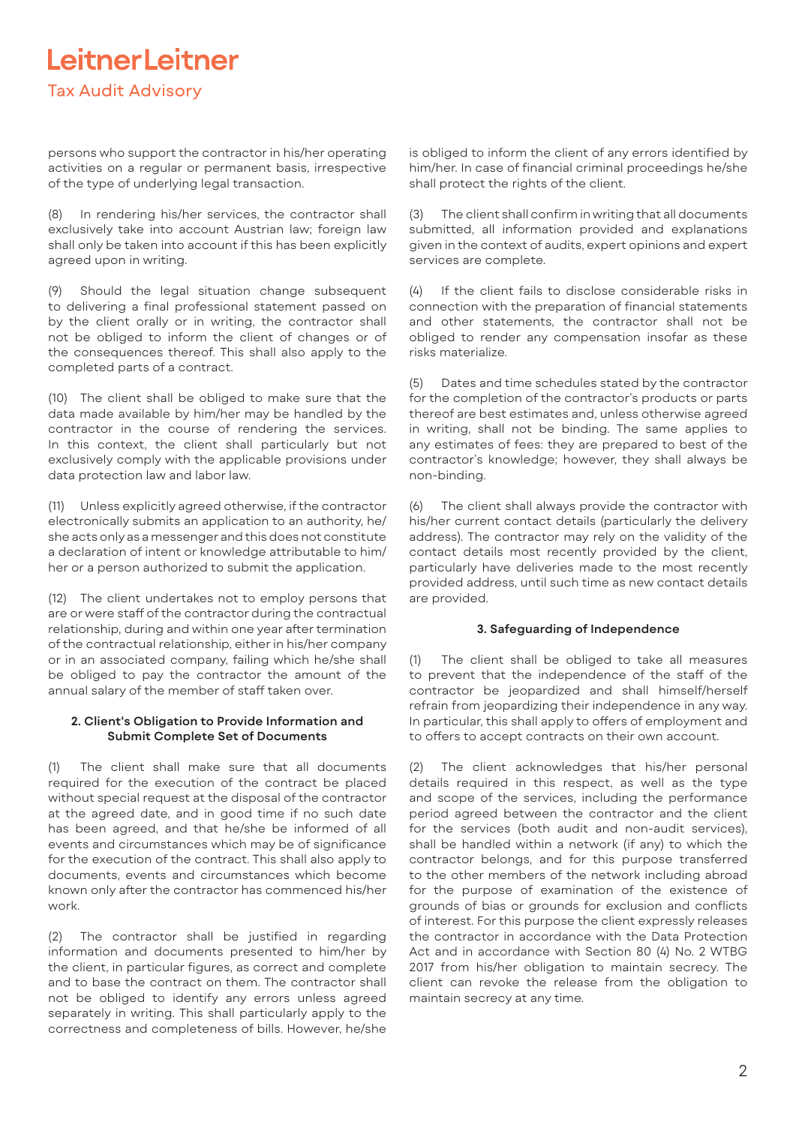## LeitnerLeitner **Tax Audit Advisory**

persons who support the contractor in his/her operating activities on a regular or permanent basis, irrespective of the type of underlying legal transaction.

(8) In rendering his/her services, the contractor shall exclusively take into account Austrian law; foreign law shall only be taken into account if this has been explicitly agreed upon in writing.

Should the legal situation change subsequent to delivering a final professional statement passed on by the client orally or in writing, the contractor shall not be obliged to inform the client of changes or of the consequences thereof. This shall also apply to the completed parts of a contract.

(10) The client shall be obliged to make sure that the data made available by him/her may be handled by the contractor in the course of rendering the services. In this context, the client shall particularly but not exclusively comply with the applicable provisions under data protection law and labor law.

(11) Unless explicitly agreed otherwise, if the contractor electronically submits an application to an authority, he/ she acts only as a messenger and this does not constitute a declaration of intent or knowledge attributable to him/ her or a person authorized to submit the application.

(12) The client undertakes not to employ persons that are or were staff of the contractor during the contractual relationship, during and within one year after termination of the contractual relationship, either in his/her company or in an associated company, failing which he/she shall be obliged to pay the contractor the amount of the annual salary of the member of staff taken over.

## **2. Client's Obligation to Provide Information and Submit Complete Set of Documents**

(1) The client shall make sure that all documents required for the execution of the contract be placed without special request at the disposal of the contractor at the agreed date, and in good time if no such date has been agreed, and that he/she be informed of all events and circumstances which may be of significance for the execution of the contract. This shall also apply to documents, events and circumstances which become known only after the contractor has commenced his/her work.

(2) The contractor shall be justified in regarding information and documents presented to him/her by the client, in particular figures, as correct and complete and to base the contract on them. The contractor shall not be obliged to identify any errors unless agreed separately in writing. This shall particularly apply to the correctness and completeness of bills. However, he/she

is obliged to inform the client of any errors identified by him/her. In case of financial criminal proceedings he/she shall protect the rights of the client.

(3) The client shall confirm in writing that all documents submitted, all information provided and explanations given in the context of audits, expert opinions and expert services are complete.

(4) If the client fails to disclose considerable risks in connection with the preparation of financial statements and other statements, the contractor shall not be obliged to render any compensation insofar as these risks materialize.

(5) Dates and time schedules stated by the contractor for the completion of the contractor's products or parts thereof are best estimates and, unless otherwise agreed in writing, shall not be binding. The same applies to any estimates of fees: they are prepared to best of the contractor's knowledge; however, they shall always be non-binding.

(6) The client shall always provide the contractor with his/her current contact details (particularly the delivery address). The contractor may rely on the validity of the contact details most recently provided by the client, particularly have deliveries made to the most recently provided address, until such time as new contact details are provided.

## **3. Safeguarding of Independence**

(1) The client shall be obliged to take all measures to prevent that the independence of the staff of the contractor be jeopardized and shall himself/herself refrain from jeopardizing their independence in any way. In particular, this shall apply to offers of employment and to offers to accept contracts on their own account.

(2) The client acknowledges that his/her personal details required in this respect, as well as the type and scope of the services, including the performance period agreed between the contractor and the client for the services (both audit and non-audit services), shall be handled within a network (if any) to which the contractor belongs, and for this purpose transferred to the other members of the network including abroad for the purpose of examination of the existence of grounds of bias or grounds for exclusion and conflicts of interest. For this purpose the client expressly releases the contractor in accordance with the Data Protection Act and in accordance with Section 80 (4) No. 2 WTBG 2017 from his/her obligation to maintain secrecy. The client can revoke the release from the obligation to maintain secrecy at any time.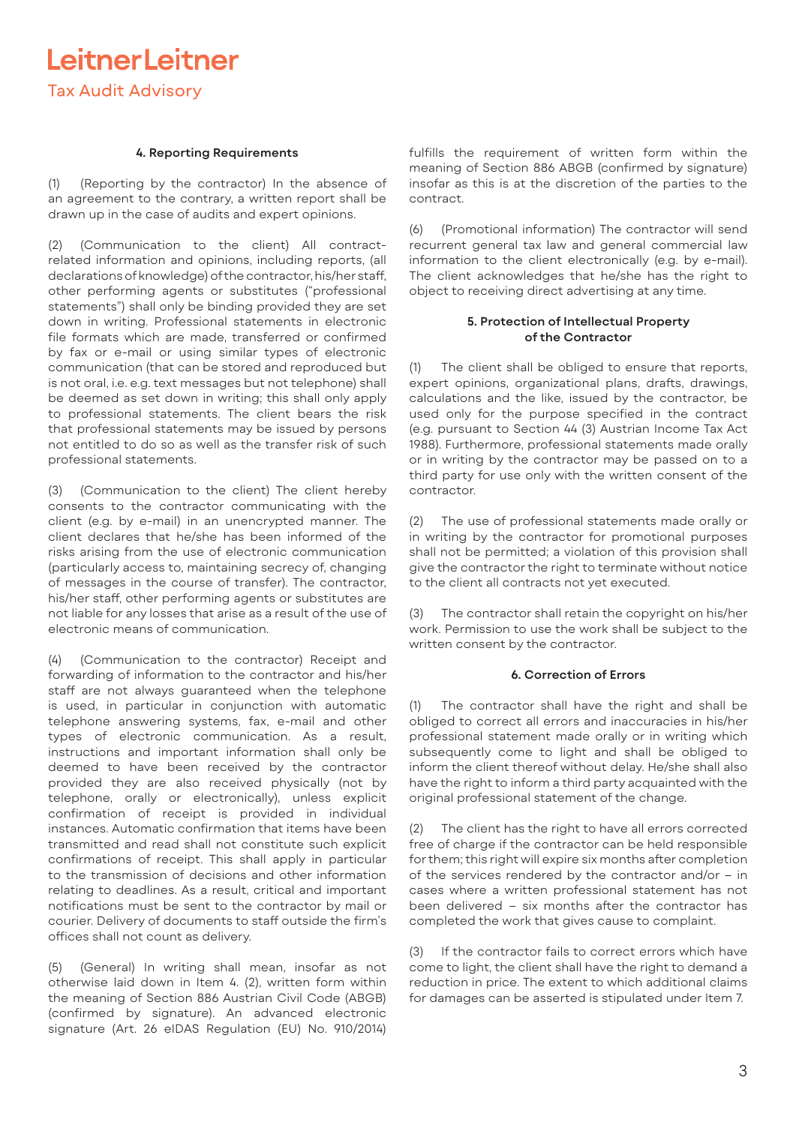LeitnerLeitner **Tax Audit Advisory** 

## **4. Reporting Requirements**

(1) (Reporting by the contractor) In the absence of an agreement to the contrary, a written report shall be drawn up in the case of audits and expert opinions.

(2) (Communication to the client) All contractrelated information and opinions, including reports, (all declarations of knowledge) of the contractor, his/her staff, other performing agents or substitutes ("professional statements") shall only be binding provided they are set down in writing. Professional statements in electronic file formats which are made, transferred or confirmed by fax or e-mail or using similar types of electronic communication (that can be stored and reproduced but is not oral, i.e. e.g. text messages but not telephone) shall be deemed as set down in writing; this shall only apply to professional statements. The client bears the risk that professional statements may be issued by persons not entitled to do so as well as the transfer risk of such professional statements.

(3) (Communication to the client) The client hereby consents to the contractor communicating with the client (e.g. by e-mail) in an unencrypted manner. The client declares that he/she has been informed of the risks arising from the use of electronic communication (particularly access to, maintaining secrecy of, changing of messages in the course of transfer). The contractor, his/her staff, other performing agents or substitutes are not liable for any losses that arise as a result of the use of electronic means of communication.

(4) (Communication to the contractor) Receipt and forwarding of information to the contractor and his/her staff are not always guaranteed when the telephone is used, in particular in conjunction with automatic telephone answering systems, fax, e-mail and other types of electronic communication. As a result, instructions and important information shall only be deemed to have been received by the contractor provided they are also received physically (not by telephone, orally or electronically), unless explicit confirmation of receipt is provided in individual instances. Automatic confirmation that items have been transmitted and read shall not constitute such explicit confirmations of receipt. This shall apply in particular to the transmission of decisions and other information relating to deadlines. As a result, critical and important notifications must be sent to the contractor by mail or courier. Delivery of documents to staff outside the firm's offices shall not count as delivery.

(5) (General) In writing shall mean, insofar as not otherwise laid down in Item 4. (2), written form within the meaning of Section 886 Austrian Civil Code (ABGB) (confirmed by signature). An advanced electronic signature (Art. 26 eIDAS Regulation (EU) No. 910/2014)

fulfills the requirement of written form within the meaning of Section 886 ABGB (confirmed by signature) insofar as this is at the discretion of the parties to the contract.

(6) (Promotional information) The contractor will send recurrent general tax law and general commercial law information to the client electronically (e.g. by e-mail). The client acknowledges that he/she has the right to object to receiving direct advertising at any time.

## **5. Protection of Intellectual Property of the Contractor**

(1) The client shall be obliged to ensure that reports, expert opinions, organizational plans, drafts, drawings, calculations and the like, issued by the contractor, be used only for the purpose specified in the contract (e.g. pursuant to Section 44 (3) Austrian Income Tax Act 1988). Furthermore, professional statements made orally or in writing by the contractor may be passed on to a third party for use only with the written consent of the contractor.

(2) The use of professional statements made orally or in writing by the contractor for promotional purposes shall not be permitted; a violation of this provision shall give the contractor the right to terminate without notice to the client all contracts not yet executed.

The contractor shall retain the copyright on his/her work. Permission to use the work shall be subject to the written consent by the contractor.

### **6. Correction of Errors**

(1) The contractor shall have the right and shall be obliged to correct all errors and inaccuracies in his/her professional statement made orally or in writing which subsequently come to light and shall be obliged to inform the client thereof without delay. He/she shall also have the right to inform a third party acquainted with the original professional statement of the change.

(2) The client has the right to have all errors corrected free of charge if the contractor can be held responsible for them; this right will expire six months after completion of the services rendered by the contractor and/or – in cases where a written professional statement has not been delivered – six months after the contractor has completed the work that gives cause to complaint.

(3) If the contractor fails to correct errors which have come to light, the client shall have the right to demand a reduction in price. The extent to which additional claims for damages can be asserted is stipulated under Item 7.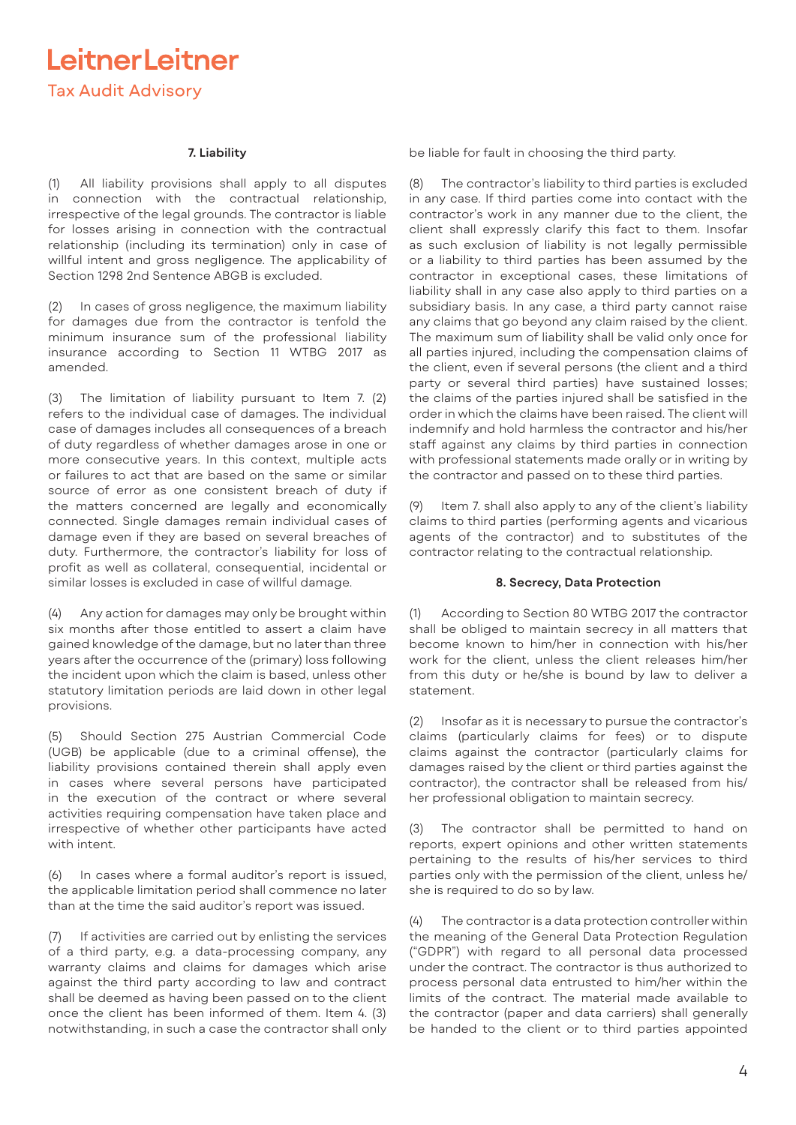# LeitnerLeitner

**Tax Audit Advisory** 

## **7. Liability**

(1) All liability provisions shall apply to all disputes in connection with the contractual relationship, irrespective of the legal grounds. The contractor is liable for losses arising in connection with the contractual relationship (including its termination) only in case of willful intent and gross negligence. The applicability of Section 1298 2nd Sentence ABGB is excluded.

(2) In cases of gross negligence, the maximum liability for damages due from the contractor is tenfold the minimum insurance sum of the professional liability insurance according to Section 11 WTBG 2017 as amended.

(3) The limitation of liability pursuant to Item 7. (2) refers to the individual case of damages. The individual case of damages includes all consequences of a breach of duty regardless of whether damages arose in one or more consecutive years. In this context, multiple acts or failures to act that are based on the same or similar source of error as one consistent breach of duty if the matters concerned are legally and economically connected. Single damages remain individual cases of damage even if they are based on several breaches of duty. Furthermore, the contractor's liability for loss of profit as well as collateral, consequential, incidental or similar losses is excluded in case of willful damage.

(4) Any action for damages may only be brought within six months after those entitled to assert a claim have gained knowledge of the damage, but no later than three years after the occurrence of the (primary) loss following the incident upon which the claim is based, unless other statutory limitation periods are laid down in other legal provisions.

(5) Should Section 275 Austrian Commercial Code (UGB) be applicable (due to a criminal offense), the liability provisions contained therein shall apply even in cases where several persons have participated in the execution of the contract or where several activities requiring compensation have taken place and irrespective of whether other participants have acted with intent.

(6) In cases where a formal auditor's report is issued, the applicable limitation period shall commence no later than at the time the said auditor's report was issued.

(7) If activities are carried out by enlisting the services of a third party, e.g. a data-processing company, any warranty claims and claims for damages which arise against the third party according to law and contract shall be deemed as having been passed on to the client once the client has been informed of them. Item 4. (3) notwithstanding, in such a case the contractor shall only

be liable for fault in choosing the third party.

The contractor's liability to third parties is excluded in any case. If third parties come into contact with the contractor's work in any manner due to the client, the client shall expressly clarify this fact to them. Insofar as such exclusion of liability is not legally permissible or a liability to third parties has been assumed by the contractor in exceptional cases, these limitations of liability shall in any case also apply to third parties on a subsidiary basis. In any case, a third party cannot raise any claims that go beyond any claim raised by the client. The maximum sum of liability shall be valid only once for all parties injured, including the compensation claims of the client, even if several persons (the client and a third party or several third parties) have sustained losses; the claims of the parties injured shall be satisfied in the order in which the claims have been raised. The client will indemnify and hold harmless the contractor and his/her staff against any claims by third parties in connection with professional statements made orally or in writing by the contractor and passed on to these third parties.

(9) Item 7. shall also apply to any of the client's liability claims to third parties (performing agents and vicarious agents of the contractor) and to substitutes of the contractor relating to the contractual relationship.

### **8. Secrecy, Data Protection**

(1) According to Section 80 WTBG 2017 the contractor shall be obliged to maintain secrecy in all matters that become known to him/her in connection with his/her work for the client, unless the client releases him/her from this duty or he/she is bound by law to deliver a statement.

(2) Insofar as it is necessary to pursue the contractor's claims (particularly claims for fees) or to dispute claims against the contractor (particularly claims for damages raised by the client or third parties against the contractor), the contractor shall be released from his/ her professional obligation to maintain secrecy.

(3) The contractor shall be permitted to hand on reports, expert opinions and other written statements pertaining to the results of his/her services to third parties only with the permission of the client, unless he/ she is required to do so by law.

(4) The contractor is a data protection controller within the meaning of the General Data Protection Regulation ("GDPR") with regard to all personal data processed under the contract. The contractor is thus authorized to process personal data entrusted to him/her within the limits of the contract. The material made available to the contractor (paper and data carriers) shall generally be handed to the client or to third parties appointed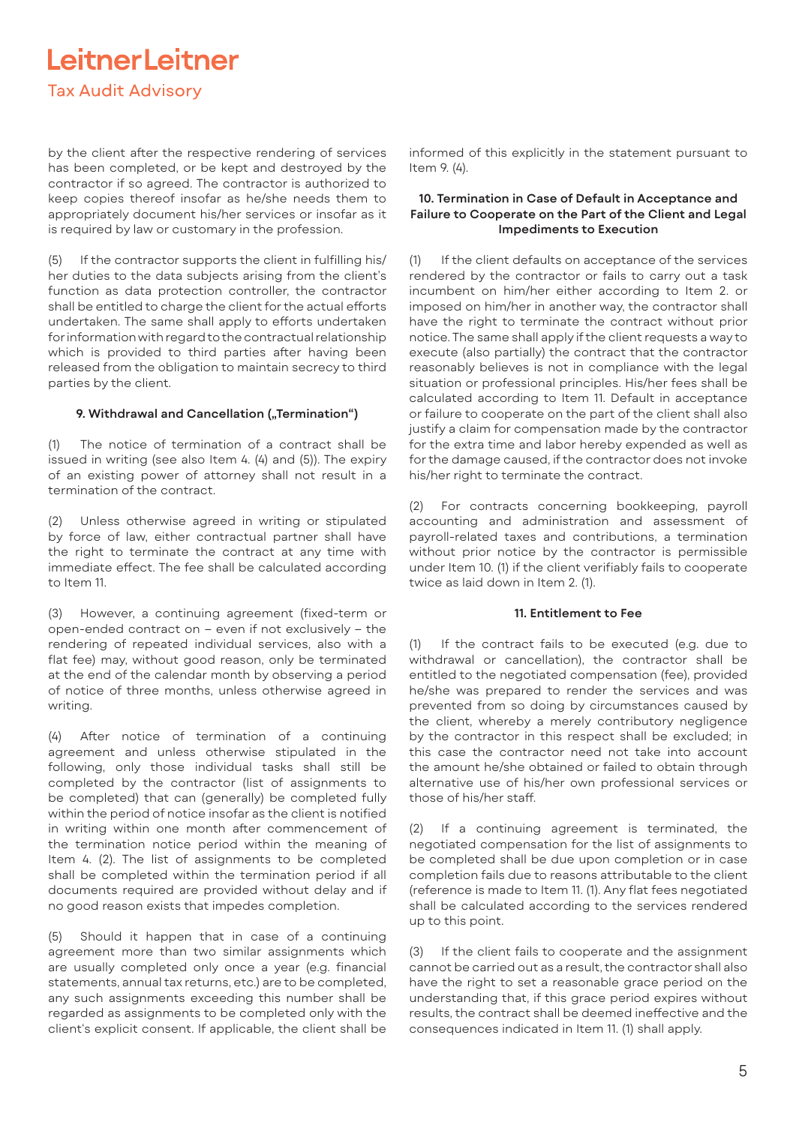## LeitnerLeitner

## **Tax Audit Advisory**

by the client after the respective rendering of services has been completed, or be kept and destroyed by the contractor if so agreed. The contractor is authorized to keep copies thereof insofar as he/she needs them to appropriately document his/her services or insofar as it is required by law or customary in the profession.

(5) If the contractor supports the client in fulfilling his/ her duties to the data subjects arising from the client's function as data protection controller, the contractor shall be entitled to charge the client for the actual efforts undertaken. The same shall apply to efforts undertaken for information with regard to the contractual relationship which is provided to third parties after having been released from the obligation to maintain secrecy to third parties by the client.

## 9. Withdrawal and Cancellation ("Termination")

(1) The notice of termination of a contract shall be issued in writing (see also Item 4. (4) and (5)). The expiry of an existing power of attorney shall not result in a termination of the contract.

(2) Unless otherwise agreed in writing or stipulated by force of law, either contractual partner shall have the right to terminate the contract at any time with immediate effect. The fee shall be calculated according to Item  $11$ .

(3) However, a continuing agreement (fixed-term or open-ended contract on – even if not exclusively – the rendering of repeated individual services, also with a flat fee) may, without good reason, only be terminated at the end of the calendar month by observing a period of notice of three months, unless otherwise agreed in writing.

(4) After notice of termination of a continuing agreement and unless otherwise stipulated in the following, only those individual tasks shall still be completed by the contractor (list of assignments to be completed) that can (generally) be completed fully within the period of notice insofar as the client is notified in writing within one month after commencement of the termination notice period within the meaning of Item 4. (2). The list of assignments to be completed shall be completed within the termination period if all documents required are provided without delay and if no good reason exists that impedes completion.

(5) Should it happen that in case of a continuing agreement more than two similar assignments which are usually completed only once a year (e.g. financial statements, annual tax returns, etc.) are to be completed, any such assignments exceeding this number shall be regarded as assignments to be completed only with the client's explicit consent. If applicable, the client shall be

informed of this explicitly in the statement pursuant to Item 9. (4).

## **10. Termination in Case of Default in Acceptance and Failure to Cooperate on the Part of the Client and Legal Impediments to Execution**

(1) If the client defaults on acceptance of the services rendered by the contractor or fails to carry out a task incumbent on him/her either according to Item 2. or imposed on him/her in another way, the contractor shall have the right to terminate the contract without prior notice. The same shall apply if the client requests a way to execute (also partially) the contract that the contractor reasonably believes is not in compliance with the legal situation or professional principles. His/her fees shall be calculated according to Item 11. Default in acceptance or failure to cooperate on the part of the client shall also justify a claim for compensation made by the contractor for the extra time and labor hereby expended as well as for the damage caused, if the contractor does not invoke his/her right to terminate the contract.

(2) For contracts concerning bookkeeping, payroll accounting and administration and assessment of payroll-related taxes and contributions, a termination without prior notice by the contractor is permissible under Item 10. (1) if the client verifiably fails to cooperate twice as laid down in Item 2. (1).

### **11. Entitlement to Fee**

(1) If the contract fails to be executed (e.g. due to withdrawal or cancellation), the contractor shall be entitled to the negotiated compensation (fee), provided he/she was prepared to render the services and was prevented from so doing by circumstances caused by the client, whereby a merely contributory negligence by the contractor in this respect shall be excluded; in this case the contractor need not take into account the amount he/she obtained or failed to obtain through alternative use of his/her own professional services or those of his/her staff.

(2) If a continuing agreement is terminated, the negotiated compensation for the list of assignments to be completed shall be due upon completion or in case completion fails due to reasons attributable to the client (reference is made to Item 11. (1). Any flat fees negotiated shall be calculated according to the services rendered up to this point.

(3) If the client fails to cooperate and the assignment cannot be carried out as a result, the contractor shall also have the right to set a reasonable grace period on the understanding that, if this grace period expires without results, the contract shall be deemed ineffective and the consequences indicated in Item 11. (1) shall apply.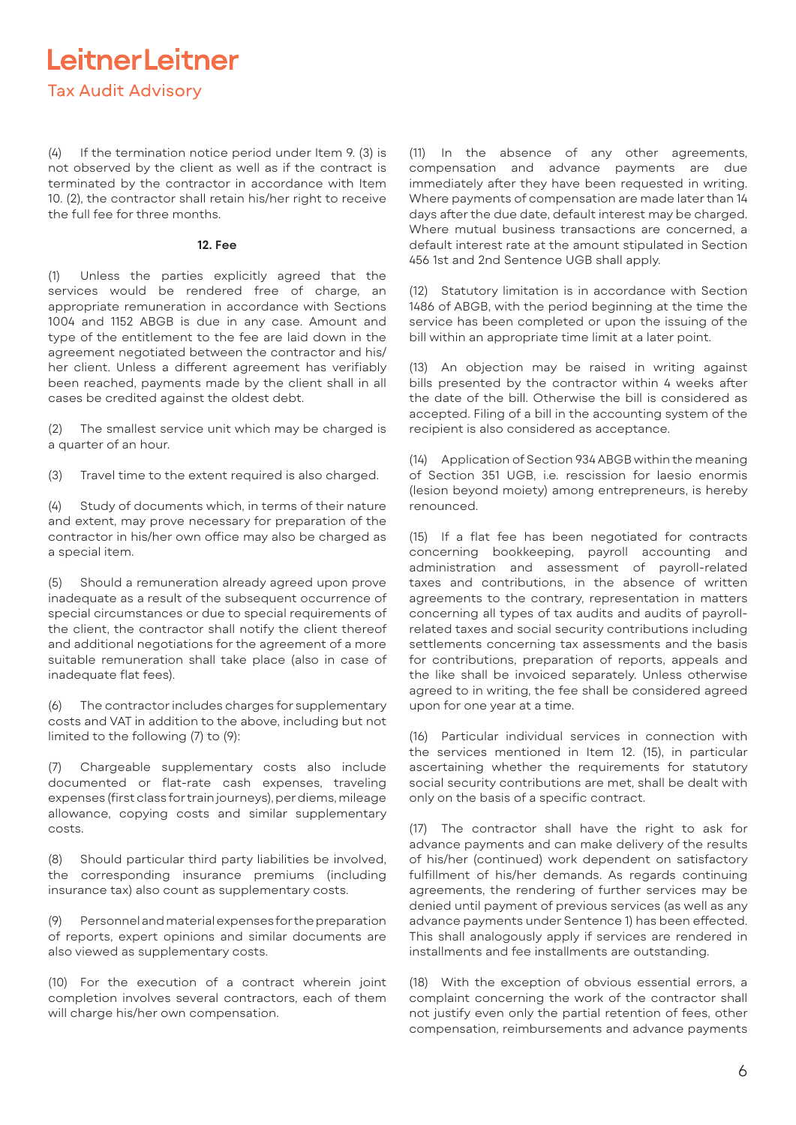## LeitnerLeitner **Tax Audit Advisory**

(4) If the termination notice period under Item 9. (3) is not observed by the client as well as if the contract is terminated by the contractor in accordance with Item 10. (2), the contractor shall retain his/her right to receive the full fee for three months.

### **12. Fee**

(1) Unless the parties explicitly agreed that the services would be rendered free of charge, an appropriate remuneration in accordance with Sections 1004 and 1152 ABGB is due in any case. Amount and type of the entitlement to the fee are laid down in the agreement negotiated between the contractor and his/ her client. Unless a different agreement has verifiably been reached, payments made by the client shall in all cases be credited against the oldest debt.

(2) The smallest service unit which may be charged is a quarter of an hour.

(3) Travel time to the extent required is also charged.

(4) Study of documents which, in terms of their nature and extent, may prove necessary for preparation of the contractor in his/her own office may also be charged as a special item.

(5) Should a remuneration already agreed upon prove inadequate as a result of the subsequent occurrence of special circumstances or due to special requirements of the client, the contractor shall notify the client thereof and additional negotiations for the agreement of a more suitable remuneration shall take place (also in case of inadequate flat fees).

(6) The contractor includes charges for supplementary costs and VAT in addition to the above, including but not limited to the following (7) to (9):

(7) Chargeable supplementary costs also include documented or flat-rate cash expenses, traveling expenses (first class for train journeys), per diems, mileage allowance, copying costs and similar supplementary costs.

(8) Should particular third party liabilities be involved, the corresponding insurance premiums (including insurance tax) also count as supplementary costs.

Personnel and material expenses for the preparation of reports, expert opinions and similar documents are also viewed as supplementary costs.

(10) For the execution of a contract wherein joint completion involves several contractors, each of them will charge his/her own compensation.

(11) In the absence of any other agreements, compensation and advance payments are due immediately after they have been requested in writing. Where payments of compensation are made later than 14 days after the due date, default interest may be charged. Where mutual business transactions are concerned, a default interest rate at the amount stipulated in Section 456 1st and 2nd Sentence UGB shall apply.

(12) Statutory limitation is in accordance with Section 1486 of ABGB, with the period beginning at the time the service has been completed or upon the issuing of the bill within an appropriate time limit at a later point.

(13) An objection may be raised in writing against bills presented by the contractor within 4 weeks after the date of the bill. Otherwise the bill is considered as accepted. Filing of a bill in the accounting system of the recipient is also considered as acceptance.

(14) Application of Section 934 ABGB within the meaning of Section 351 UGB, i.e. rescission for laesio enormis (lesion beyond moiety) among entrepreneurs, is hereby renounced.

(15) If a flat fee has been negotiated for contracts concerning bookkeeping, payroll accounting and administration and assessment of payroll-related taxes and contributions, in the absence of written agreements to the contrary, representation in matters concerning all types of tax audits and audits of payrollrelated taxes and social security contributions including settlements concerning tax assessments and the basis for contributions, preparation of reports, appeals and the like shall be invoiced separately. Unless otherwise agreed to in writing, the fee shall be considered agreed upon for one year at a time.

(16) Particular individual services in connection with the services mentioned in Item 12. (15), in particular ascertaining whether the requirements for statutory social security contributions are met, shall be dealt with only on the basis of a specific contract.

(17) The contractor shall have the right to ask for advance payments and can make delivery of the results of his/her (continued) work dependent on satisfactory fulfillment of his/her demands. As regards continuing agreements, the rendering of further services may be denied until payment of previous services (as well as any advance payments under Sentence 1) has been effected. This shall analogously apply if services are rendered in installments and fee installments are outstanding.

(18) With the exception of obvious essential errors, a complaint concerning the work of the contractor shall not justify even only the partial retention of fees, other compensation, reimbursements and advance payments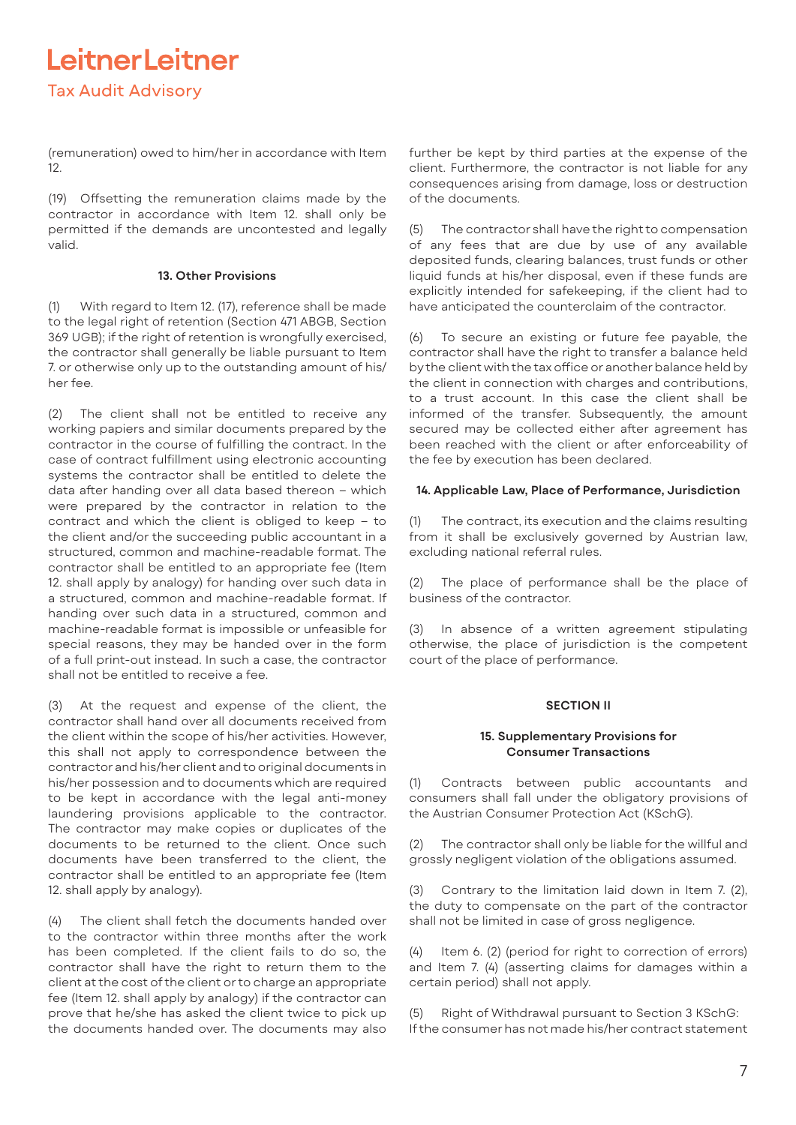(remuneration) owed to him/her in accordance with Item 12.

(19) Offsetting the remuneration claims made by the contractor in accordance with Item 12. shall only be permitted if the demands are uncontested and legally valid.

## **13. Other Provisions**

(1) With regard to Item 12. (17), reference shall be made to the legal right of retention (Section 471 ABGB, Section 369 UGB); if the right of retention is wrongfully exercised, the contractor shall generally be liable pursuant to Item 7. or otherwise only up to the outstanding amount of his/ her fee.

(2) The client shall not be entitled to receive any working papiers and similar documents prepared by the contractor in the course of fulfilling the contract. In the case of contract fulfillment using electronic accounting systems the contractor shall be entitled to delete the data after handing over all data based thereon – which were prepared by the contractor in relation to the contract and which the client is obliged to keep – to the client and/or the succeeding public accountant in a structured, common and machine-readable format. The contractor shall be entitled to an appropriate fee (Item 12. shall apply by analogy) for handing over such data in a structured, common and machine-readable format. If handing over such data in a structured, common and machine-readable format is impossible or unfeasible for special reasons, they may be handed over in the form of a full print-out instead. In such a case, the contractor shall not be entitled to receive a fee.

(3) At the request and expense of the client, the contractor shall hand over all documents received from the client within the scope of his/her activities. However, this shall not apply to correspondence between the contractor and his/her client and to original documents in his/her possession and to documents which are required to be kept in accordance with the legal anti-money laundering provisions applicable to the contractor. The contractor may make copies or duplicates of the documents to be returned to the client. Once such documents have been transferred to the client, the contractor shall be entitled to an appropriate fee (Item 12. shall apply by analogy).

(4) The client shall fetch the documents handed over to the contractor within three months after the work has been completed. If the client fails to do so, the contractor shall have the right to return them to the client at the cost of the client or to charge an appropriate fee (Item 12. shall apply by analogy) if the contractor can prove that he/she has asked the client twice to pick up the documents handed over. The documents may also

further be kept by third parties at the expense of the client. Furthermore, the contractor is not liable for any consequences arising from damage, loss or destruction of the documents.

(5) The contractor shall have the right to compensation of any fees that are due by use of any available deposited funds, clearing balances, trust funds or other liquid funds at his/her disposal, even if these funds are explicitly intended for safekeeping, if the client had to have anticipated the counterclaim of the contractor.

(6) To secure an existing or future fee payable, the contractor shall have the right to transfer a balance held by the client with the tax office or another balance held by the client in connection with charges and contributions, to a trust account. In this case the client shall be informed of the transfer. Subsequently, the amount secured may be collected either after agreement has been reached with the client or after enforceability of the fee by execution has been declared.

## **14. Applicable Law, Place of Performance, Jurisdiction**

(1) The contract, its execution and the claims resulting from it shall be exclusively governed by Austrian law, excluding national referral rules.

(2) The place of performance shall be the place of business of the contractor.

(3) In absence of a written agreement stipulating otherwise, the place of jurisdiction is the competent court of the place of performance.

### **SECTION II**

## **15. Supplementary Provisions for Consumer Transactions**

(1) Contracts between public accountants and consumers shall fall under the obligatory provisions of the Austrian Consumer Protection Act (KSchG).

(2) The contractor shall only be liable for the willful and grossly negligent violation of the obligations assumed.

(3) Contrary to the limitation laid down in Item 7. (2), the duty to compensate on the part of the contractor shall not be limited in case of gross negligence.

(4) Item 6. (2) (period for right to correction of errors) and Item 7. (4) (asserting claims for damages within a certain period) shall not apply.

(5) Right of Withdrawal pursuant to Section 3 KSchG: If the consumer has not made his/her contract statement